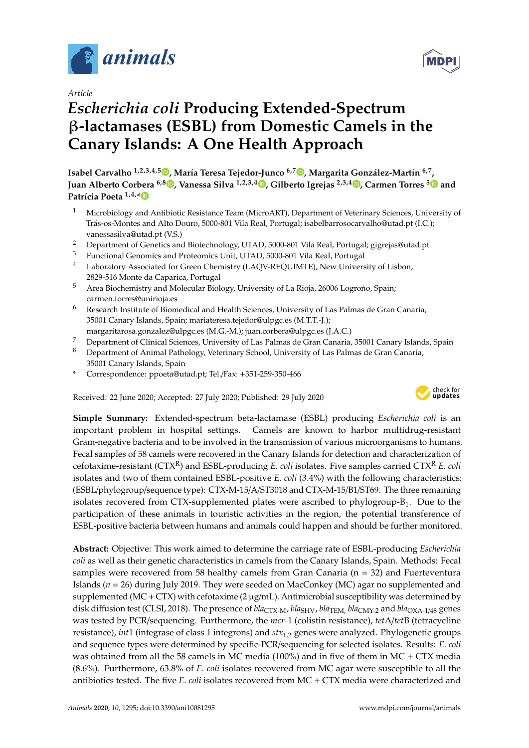

*Article*

# *Escherichia coli* **Producing Extended-Spectrum** β**-lactamases (ESBL) from Domestic Camels in the Canary Islands: A One Health Approach**

**Isabel Carvalho 1,2,3,4,5 [,](https://orcid.org/0000-0003-1762-412X) María Teresa Tejedor-Junco 6,7 [,](https://orcid.org/0000-0003-2387-1426) Margarita González-Martín 6,7 , Juan Alberto Corbera 6,8 [,](https://orcid.org/0000-0001-7812-2065) Vanessa Silva 1,2,3,[4](https://orcid.org/0000-0001-9406-8433) , Gilberto Igrejas 2,3,4 [,](https://orcid.org/0000-0002-6365-0735) Carmen Torres [5](https://orcid.org/0000-0003-3709-1690) and Patrícia Poeta 1,4,[\\*](https://orcid.org/0000-0003-0925-689X)**

- <sup>1</sup> Microbiology and Antibiotic Resistance Team (MicroART), Department of Veterinary Sciences, University of Trás-os-Montes and Alto Douro, 5000-801 Vila Real, Portugal; isabelbarrosocarvalho@utad.pt (I.C.); vanessasilva@utad.pt (V.S.)
- <sup>2</sup> Department of Genetics and Biotechnology, UTAD, 5000-801 Vila Real, Portugal; gigrejas@utad.pt
- <sup>3</sup> Functional Genomics and Proteomics Unit, UTAD, 5000-801 Vila Real, Portugal
- Laboratory Associated for Green Chemistry (LAQV-REQUIMTE), New University of Lisbon, 2829-516 Monte da Caparica, Portugal
- <sup>5</sup> Area Biochemistry and Molecular Biology, University of La Rioja, 26006 Logroño, Spain; carmen.torres@unirioja.es
- <sup>6</sup> Research Institute of Biomedical and Health Sciences, University of Las Palmas de Gran Canaria, 35001 Canary Islands, Spain; mariateresa.tejedor@ulpgc.es (M.T.T.-J.);
- margaritarosa.gonzalez@ulpgc.es (M.G.-M.); juan.corbera@ulpgc.es (J.A.C.) <sup>7</sup> Department of Clinical Sciences, University of Las Palmas de Gran Canaria, 35001 Canary Islands, Spain
- 8 Department of Animal Pathology, Veterinary School, University of Las Palmas de Gran Canaria,
- 35001 Canary Islands, Spain
- **\*** Correspondence: ppoeta@utad.pt; Tel./Fax: +351-259-350-466

Received: 22 June 2020; Accepted: 27 July 2020; Published: 29 July 2020



**Simple Summary:** Extended-spectrum beta-lactamase (ESBL) producing *Escherichia coli* is an important problem in hospital settings. Camels are known to harbor multidrug-resistant Gram-negative bacteria and to be involved in the transmission of various microorganisms to humans. Fecal samples of 58 camels were recovered in the Canary Islands for detection and characterization of cefotaxime-resistant (CTXR) and ESBL-producing *E. coli* isolates. Five samples carried CTX<sup>R</sup> *E. coli* isolates and two of them contained ESBL-positive *E. coli* (3.4%) with the following characteristics: (ESBL/phylogroup/sequence type): CTX-M-15/A/ST3018 and CTX-M-15/B1/ST69. The three remaining isolates recovered from CTX-supplemented plates were ascribed to phylogroup- $B_1$ . Due to the participation of these animals in touristic activities in the region, the potential transference of ESBL-positive bacteria between humans and animals could happen and should be further monitored.

**Abstract:** Objective: This work aimed to determine the carriage rate of ESBL-producing *Escherichia coli* as well as their genetic characteristics in camels from the Canary Islands, Spain. Methods: Fecal samples were recovered from 58 healthy camels from Gran Canaria (n = 32) and Fuerteventura Islands (*n* = 26) during July 2019. They were seeded on MacConkey (MC) agar no supplemented and supplemented (MC + CTX) with cefotaxime (2  $\mu$ g/mL). Antimicrobial susceptibility was determined by disk diffusion test (CLSI, 2018). The presence of *bla*<sub>CTX-M</sub>, *bla*<sub>SHV</sub>, *bla*<sub>TEM</sub>, *bla*<sub>CMY-2</sub> and *bla*<sub>OXA-1/48</sub> genes was tested by PCR/sequencing. Furthermore, the *mcr-*1 (colistin resistance), *tet*A/*tet*B (tetracycline resistance), *int*1 (integrase of class 1 integrons) and *stx*1,2 genes were analyzed. Phylogenetic groups and sequence types were determined by specific-PCR/sequencing for selected isolates. Results: *E. coli* was obtained from all the 58 camels in MC media (100%) and in five of them in MC + CTX media (8.6%). Furthermore, 63.8% of *E. coli* isolates recovered from MC agar were susceptible to all the antibiotics tested. The five *E. coli* isolates recovered from MC + CTX media were characterized and

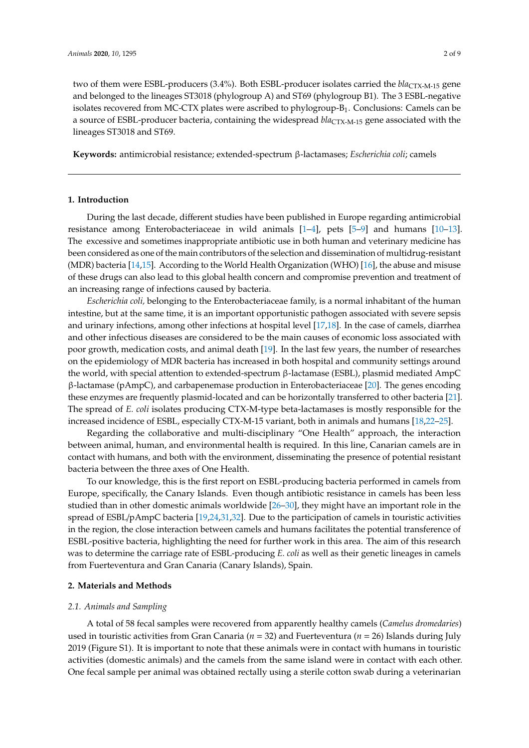two of them were ESBL-producers (3.4%). Both ESBL-producer isolates carried the *bla*CTX-M-15 gene and belonged to the lineages ST3018 (phylogroup A) and ST69 (phylogroup B1). The 3 ESBL-negative isolates recovered from MC-CTX plates were ascribed to phylogroup- $B_1$ . Conclusions: Camels can be a source of ESBL-producer bacteria, containing the widespread *bla*CTX-M-15 gene associated with the lineages ST3018 and ST69.

**Keywords:** antimicrobial resistance; extended-spectrum β-lactamases; *Escherichia coli*; camels

# **1. Introduction**

During the last decade, different studies have been published in Europe regarding antimicrobial resistance among Enterobacteriaceae in wild animals [\[1](#page-5-0)[–4\]](#page-5-1), pets [\[5](#page-5-2)[–9\]](#page-5-3) and humans [\[10–](#page-5-4)[13\]](#page-6-0). The excessive and sometimes inappropriate antibiotic use in both human and veterinary medicine has been considered as one of the main contributors of the selection and dissemination of multidrug-resistant (MDR) bacteria [\[14](#page-6-1)[,15\]](#page-6-2). According to the World Health Organization (WHO) [\[16\]](#page-6-3), the abuse and misuse of these drugs can also lead to this global health concern and compromise prevention and treatment of an increasing range of infections caused by bacteria.

*Escherichia coli,* belonging to the Enterobacteriaceae family, is a normal inhabitant of the human intestine, but at the same time, it is an important opportunistic pathogen associated with severe sepsis and urinary infections, among other infections at hospital level [\[17](#page-6-4)[,18\]](#page-6-5). In the case of camels, diarrhea and other infectious diseases are considered to be the main causes of economic loss associated with poor growth, medication costs, and animal death [\[19\]](#page-6-6). In the last few years, the number of researches on the epidemiology of MDR bacteria has increased in both hospital and community settings around the world, with special attention to extended-spectrum β-lactamase (ESBL), plasmid mediated AmpC β-lactamase (pAmpC), and carbapenemase production in Enterobacteriaceae [\[20\]](#page-6-7). The genes encoding these enzymes are frequently plasmid-located and can be horizontally transferred to other bacteria [\[21\]](#page-6-8). The spread of *E. coli* isolates producing CTX-M-type beta-lactamases is mostly responsible for the increased incidence of ESBL, especially CTX-M-15 variant, both in animals and humans [\[18](#page-6-5)[,22](#page-6-9)[–25\]](#page-6-10).

Regarding the collaborative and multi-disciplinary "One Health" approach, the interaction between animal, human, and environmental health is required. In this line, Canarian camels are in contact with humans, and both with the environment, disseminating the presence of potential resistant bacteria between the three axes of One Health.

To our knowledge, this is the first report on ESBL-producing bacteria performed in camels from Europe, specifically, the Canary Islands. Even though antibiotic resistance in camels has been less studied than in other domestic animals worldwide [\[26](#page-6-11)[–30\]](#page-7-0), they might have an important role in the spread of ESBL/pAmpC bacteria [\[19,](#page-6-6)[24,](#page-6-12)[31,](#page-7-1)[32\]](#page-7-2). Due to the participation of camels in touristic activities in the region, the close interaction between camels and humans facilitates the potential transference of ESBL-positive bacteria, highlighting the need for further work in this area. The aim of this research was to determine the carriage rate of ESBL-producing *E. coli* as well as their genetic lineages in camels from Fuerteventura and Gran Canaria (Canary Islands), Spain.

#### **2. Materials and Methods**

## *2.1. Animals and Sampling*

A total of 58 fecal samples were recovered from apparently healthy camels (*Camelus dromedaries*) used in touristic activities from Gran Canaria (*n* = 32) and Fuerteventura (*n* = 26) Islands during July 2019 (Figure S1). It is important to note that these animals were in contact with humans in touristic activities (domestic animals) and the camels from the same island were in contact with each other. One fecal sample per animal was obtained rectally using a sterile cotton swab during a veterinarian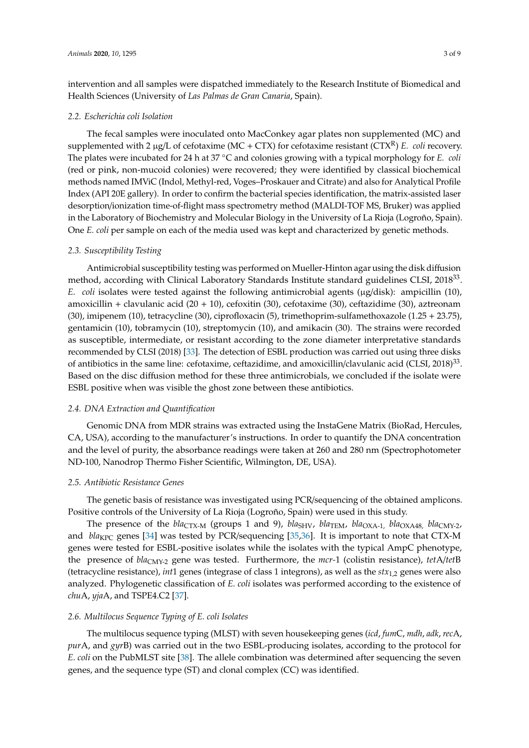intervention and all samples were dispatched immediately to the Research Institute of Biomedical and Health Sciences (University of *Las Palmas de Gran Canaria*, Spain).

#### *2.2. Escherichia coli Isolation*

The fecal samples were inoculated onto MacConkey agar plates non supplemented (MC) and supplemented with 2  $\mu$ g/L of cefotaxime (MC + CTX) for cefotaxime resistant (CTX<sup>R</sup>) *E. coli* recovery. The plates were incubated for 24 h at 37 °C and colonies growing with a typical morphology for *E. coli* (red or pink, non-mucoid colonies) were recovered; they were identified by classical biochemical methods named IMViC (Indol, Methyl-red, Voges–Proskauer and Citrate) and also for Analytical Profile Index (API 20E gallery). In order to confirm the bacterial species identification, the matrix-assisted laser desorption/ionization time-of-flight mass spectrometry method (MALDI-TOF MS, Bruker) was applied in the Laboratory of Biochemistry and Molecular Biology in the University of La Rioja (Logroño, Spain). One *E. coli* per sample on each of the media used was kept and characterized by genetic methods.

## *2.3. Susceptibility Testing*

Antimicrobial susceptibility testing was performed on Mueller-Hinton agar using the disk diffusion method, according with Clinical Laboratory Standards Institute standard guidelines CLSI, 2018<sup>33</sup>. *E. coli* isolates were tested against the following antimicrobial agents (µg/disk): ampicillin (10), amoxicillin + clavulanic acid (20 + 10), cefoxitin (30), cefotaxime (30), ceftazidime (30), aztreonam (30), imipenem (10), tetracycline (30), ciprofloxacin (5), trimethoprim-sulfamethoxazole (1.25 + 23.75), gentamicin (10), tobramycin (10), streptomycin (10), and amikacin (30). The strains were recorded as susceptible, intermediate, or resistant according to the zone diameter interpretative standards recommended by CLSI (2018) [\[33\]](#page-7-3). The detection of ESBL production was carried out using three disks of antibiotics in the same line: cefotaxime, ceftazidime, and amoxicillin/clavulanic acid (CLSI, 2018)<sup>33</sup>. Based on the disc diffusion method for these three antimicrobials, we concluded if the isolate were ESBL positive when was visible the ghost zone between these antibiotics.

### *2.4. DNA Extraction and Quantification*

Genomic DNA from MDR strains was extracted using the InstaGene Matrix (BioRad, Hercules, CA, USA), according to the manufacturer's instructions. In order to quantify the DNA concentration and the level of purity, the absorbance readings were taken at 260 and 280 nm (Spectrophotometer ND-100, Nanodrop Thermo Fisher Scientific, Wilmington, DE, USA).

#### *2.5. Antibiotic Resistance Genes*

The genetic basis of resistance was investigated using PCR/sequencing of the obtained amplicons. Positive controls of the University of La Rioja (Logroño, Spain) were used in this study.

The presence of the *bla*<sub>CTX-M</sub> (groups 1 and 9), *bla*<sub>SHV</sub>, *bla*<sub>CHM</sub>, *bla*<sub>OXA-1</sub>, *bla*<sub>OXA48</sub>, *bla*<sub>CMY-2</sub>, and *bla<sub>KPC</sub>* genes [\[34\]](#page-7-4) was tested by PCR/sequencing [\[35,](#page-7-5)[36\]](#page-7-6). It is important to note that CTX-M genes were tested for ESBL-positive isolates while the isolates with the typical AmpC phenotype, the presence of *bla*CMY-2 gene was tested. Furthermore, the *mcr-*1 (colistin resistance), *tet*A/*tet*B (tetracycline resistance), *int*1 genes (integrase of class 1 integrons), as well as the *stx*1,2 genes were also analyzed. Phylogenetic classification of *E. coli* isolates was performed according to the existence of *chu*A, *yja*A, and TSPE4.C2 [\[37\]](#page-7-7).

#### *2.6. Multilocus Sequence Typing of E. coli Isolates*

The multilocus sequence typing (MLST) with seven housekeeping genes (*icd*, *fum*C, *mdh*, *adk*, *rec*A, *pur*A, and *gyr*B) was carried out in the two ESBL-producing isolates, according to the protocol for *E. coli* on the PubMLST site [\[38\]](#page-7-8). The allele combination was determined after sequencing the seven genes, and the sequence type (ST) and clonal complex (CC) was identified.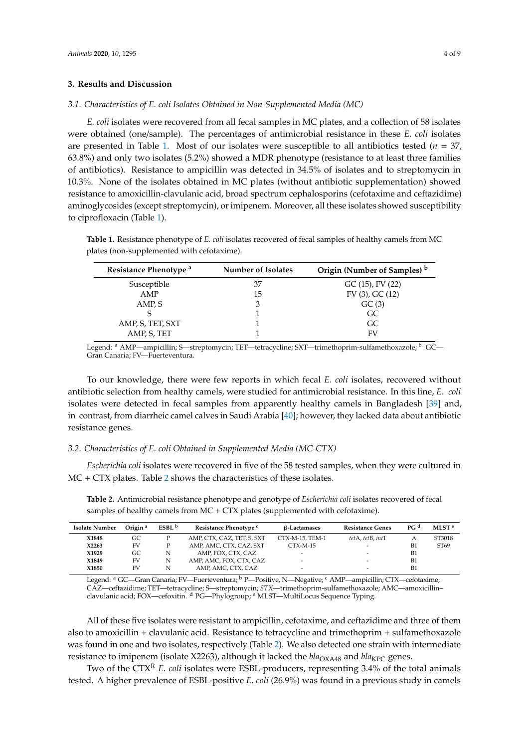#### **3. Results and Discussion**

#### *3.1. Characteristics of E. coli Isolates Obtained in Non-Supplemented Media (MC)*

*E. coli* isolates were recovered from all fecal samples in MC plates, and a collection of 58 isolates were obtained (one/sample). The percentages of antimicrobial resistance in these *E. coli* isolates are presented in Table [1.](#page-3-0) Most of our isolates were susceptible to all antibiotics tested (*n* = 37, 63.8%) and only two isolates (5.2%) showed a MDR phenotype (resistance to at least three families of antibiotics). Resistance to ampicillin was detected in 34.5% of isolates and to streptomycin in 10.3%. None of the isolates obtained in MC plates (without antibiotic supplementation) showed resistance to amoxicillin-clavulanic acid, broad spectrum cephalosporins (cefotaxime and ceftazidime) aminoglycosides (except streptomycin), or imipenem. Moreover, all these isolates showed susceptibility to ciprofloxacin (Table [1\)](#page-3-0).

<span id="page-3-0"></span>**Table 1.** Resistance phenotype of *E. coli* isolates recovered of fecal samples of healthy camels from MC plates (non-supplemented with cefotaxime).

| Resistance Phenotype <sup>a</sup> | <b>Number of Isolates</b> | Origin (Number of Samples) b |  |  |
|-----------------------------------|---------------------------|------------------------------|--|--|
| Susceptible                       | 37                        | $GC(15)$ , FV $(22)$         |  |  |
| AMP                               | 15                        | $FV(3)$ , GC $(12)$          |  |  |
| AMP, S                            |                           | GC(3)                        |  |  |
|                                   |                           | GC.                          |  |  |
| AMP, S, TET, SXT                  |                           | GC.                          |  |  |
| AMP, S, TET                       |                           | FV                           |  |  |

Legend: <sup>a</sup> AMP—ampicillin; S—streptomycin; TET—tetracycline; SXT—trimethoprim-sulfamethoxazole; <sup>b</sup> GC— Gran Canaria; FV—Fuerteventura.

To our knowledge, there were few reports in which fecal *E. coli* isolates, recovered without antibiotic selection from healthy camels, were studied for antimicrobial resistance. In this line, *E. coli* isolates were detected in fecal samples from apparently healthy camels in Bangladesh [\[39\]](#page-7-9) and, in contrast, from diarrheic camel calves in Saudi Arabia [\[40\]](#page-7-10); however, they lacked data about antibiotic resistance genes.

#### *3.2. Characteristics of E. coli Obtained in Supplemented Media (MC-CTX)*

*Escherichia coli* isolates were recovered in five of the 58 tested samples, when they were cultured in MC + CTX plates. Table [2](#page-3-1) shows the characteristics of these isolates.

<span id="page-3-1"></span>**Table 2.** Antimicrobial resistance phenotype and genotype of *Escherichia coli* isolates recovered of fecal samples of healthy camels from MC + CTX plates (supplemented with cefotaxime).

| <b>Isolate Number</b> | Origin <sup>a</sup> | ESBL <sup>b</sup> | Resistance Phenotype <sup>c</sup> | <b>B-Lactamases</b>      | <b>Resistance Genes</b>  | $P$ G <sup>d</sup> | MLST <sup>e</sup> |
|-----------------------|---------------------|-------------------|-----------------------------------|--------------------------|--------------------------|--------------------|-------------------|
| X1848                 | GC                  |                   | AMP, CTX, CAZ, TET, S, SXT        | CTX-M-15. TEM-1          | tetA, tetB, int1         | А                  | ST3018            |
| X2263                 | FV                  |                   | AMP, AMC, CTX, CAZ, SXT           | $CTX-M-15$               | -                        | B <sub>1</sub>     | ST <sub>69</sub>  |
| X1929                 | GC                  | N                 | AMP, FOX, CTX, CAZ                | $\overline{\phantom{0}}$ | -                        | B1                 |                   |
| X1849                 | FV                  | N                 | AMP, AMC, FOX, CTX, CAZ           | $\overline{\phantom{0}}$ | -                        | B1                 |                   |
| X1850                 | FV                  | N                 | AMP, AMC, CTX, CAZ                | $\overline{\phantom{0}}$ | $\overline{\phantom{a}}$ | B1                 |                   |

Legend: <sup>a</sup> GC—Gran Canaria; FV—Fuerteventura; <sup>b</sup> P—Positive, N—Negative; <sup>c</sup> AMP—ampicillin; CTX—cefotaxime; CAZ—ceftazidime; TET—tetracycline; S—streptomycin; *STX*—trimethoprim-sulfamethoxazole; AMC—amoxicillin– clavulanic acid; FOX—cefoxitin. d PG—Phylogroup; e MLST—MultiLocus Sequence Typing.

All of these five isolates were resistant to ampicillin, cefotaxime, and ceftazidime and three of them also to amoxicillin + clavulanic acid. Resistance to tetracycline and trimethoprim + sulfamethoxazole was found in one and two isolates, respectively (Table [2\)](#page-3-1). We also detected one strain with intermediate resistance to imipenem (isolate X2263), although it lacked the *bla*<sub>OXA48</sub> and *bla*<sub>KPC</sub> genes.

Two of the CTX<sup>R</sup> *E. coli* isolates were ESBL-producers, representing 3.4% of the total animals tested. A higher prevalence of ESBL-positive *E. coli* (26.9%) was found in a previous study in camels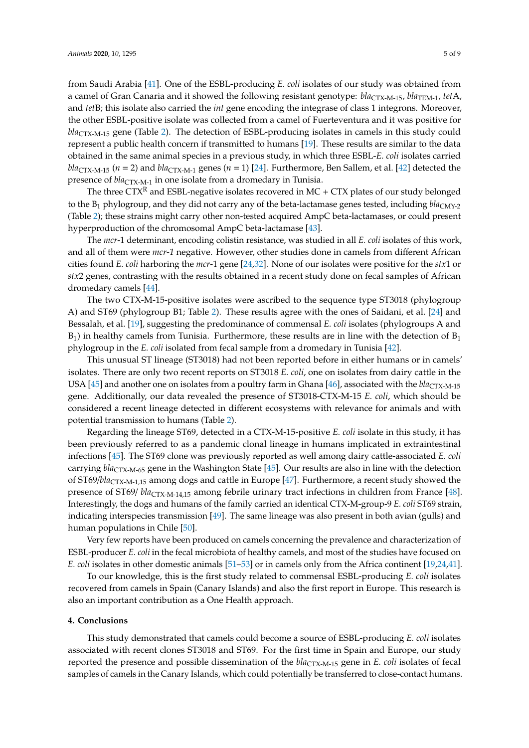from Saudi Arabia [\[41\]](#page-7-11). One of the ESBL-producing *E. coli* isolates of our study was obtained from a camel of Gran Canaria and it showed the following resistant genotype: *bla*<sub>CTX-M-15</sub>, *bla*<sub>TEM-1</sub>, *tet*A, and *tet*B; this isolate also carried the *int* gene encoding the integrase of class 1 integrons. Moreover, the other ESBL-positive isolate was collected from a camel of Fuerteventura and it was positive for bla<sub>CTX-M-15</sub> gene (Table [2\)](#page-3-1). The detection of ESBL-producing isolates in camels in this study could represent a public health concern if transmitted to humans [\[19\]](#page-6-6). These results are similar to the data obtained in the same animal species in a previous study, in which three ESBL-*E. coli* isolates carried  $bla_{\text{CTX-M-15}}$  ( $n = 2$ ) and  $bla_{\text{CTX-M-1}}$  genes ( $n = 1$ ) [\[24\]](#page-6-12). Furthermore, Ben Sallem, et al. [\[42\]](#page-7-12) detected the presence of  $bla_{CTX-M-1}$  in one isolate from a dromedary in Tunisia.

The three CTX<sup>R</sup> and ESBL-negative isolates recovered in MC + CTX plates of our study belonged to the B<sub>1</sub> phylogroup, and they did not carry any of the beta-lactamase genes tested, including *bla*<sub>CMY-2</sub> (Table [2\)](#page-3-1); these strains might carry other non-tested acquired AmpC beta-lactamases, or could present hyperproduction of the chromosomal AmpC beta-lactamase [\[43\]](#page-7-13).

The *mcr*-1 determinant, encoding colistin resistance, was studied in all *E. coli* isolates of this work, and all of them were *mcr-1* negative. However, other studies done in camels from different African cities found *E. coli* harboring the *mcr*-1 gene [\[24](#page-6-12)[,32\]](#page-7-2). None of our isolates were positive for the *stx*1 or *stx*2 genes, contrasting with the results obtained in a recent study done on fecal samples of African dromedary camels [\[44\]](#page-7-14).

The two CTX-M-15-positive isolates were ascribed to the sequence type ST3018 (phylogroup A) and ST69 (phylogroup B1; Table [2\)](#page-3-1). These results agree with the ones of Saidani, et al. [\[24\]](#page-6-12) and Bessalah, et al. [\[19\]](#page-6-6), suggesting the predominance of commensal *E. coli* isolates (phylogroups A and  $B_1$ ) in healthy camels from Tunisia. Furthermore, these results are in line with the detection of  $B_1$ phylogroup in the *E. coli* isolated from fecal sample from a dromedary in Tunisia [\[42\]](#page-7-12).

This unusual ST lineage (ST3018) had not been reported before in either humans or in camels' isolates. There are only two recent reports on ST3018 *E. coli*, one on isolates from dairy cattle in the USA [\[45\]](#page-7-15) and another one on isolates from a poultry farm in Ghana [\[46\]](#page-8-0), associated with the *bla*<sub>CTX-M-15</sub> gene. Additionally, our data revealed the presence of ST3018-CTX-M-15 *E. coli*, which should be considered a recent lineage detected in different ecosystems with relevance for animals and with potential transmission to humans (Table [2\)](#page-3-1).

Regarding the lineage ST69, detected in a CTX-M-15-positive *E. coli* isolate in this study, it has been previously referred to as a pandemic clonal lineage in humans implicated in extraintestinal infections [\[45\]](#page-7-15). The ST69 clone was previously reported as well among dairy cattle-associated *E. coli* carrying *bla*<sub>CTX-M-65</sub> gene in the Washington State [\[45\]](#page-7-15). Our results are also in line with the detection of ST69/*bla*CTX-M-1,15 among dogs and cattle in Europe [\[47\]](#page-8-1). Furthermore, a recent study showed the presence of ST69/  $bla_{\text{CTX-M-14,15}}$  among febrile urinary tract infections in children from France [\[48\]](#page-8-2). Interestingly, the dogs and humans of the family carried an identical CTX-M-group-9 *E. coli* ST69 strain, indicating interspecies transmission [\[49\]](#page-8-3). The same lineage was also present in both avian (gulls) and human populations in Chile [\[50\]](#page-8-4).

Very few reports have been produced on camels concerning the prevalence and characterization of ESBL-producer *E. coli* in the fecal microbiota of healthy camels, and most of the studies have focused on *E. coli* isolates in other domestic animals [\[51–](#page-8-5)[53\]](#page-8-6) or in camels only from the Africa continent [\[19](#page-6-6)[,24](#page-6-12)[,41\]](#page-7-11).

To our knowledge, this is the first study related to commensal ESBL-producing *E. coli* isolates recovered from camels in Spain (Canary Islands) and also the first report in Europe. This research is also an important contribution as a One Health approach.

#### **4. Conclusions**

This study demonstrated that camels could become a source of ESBL-producing *E. coli* isolates associated with recent clones ST3018 and ST69. For the first time in Spain and Europe, our study reported the presence and possible dissemination of the  $bla_{\text{CTX-M-15}}$  gene in *E. coli* isolates of fecal samples of camels in the Canary Islands, which could potentially be transferred to close-contact humans.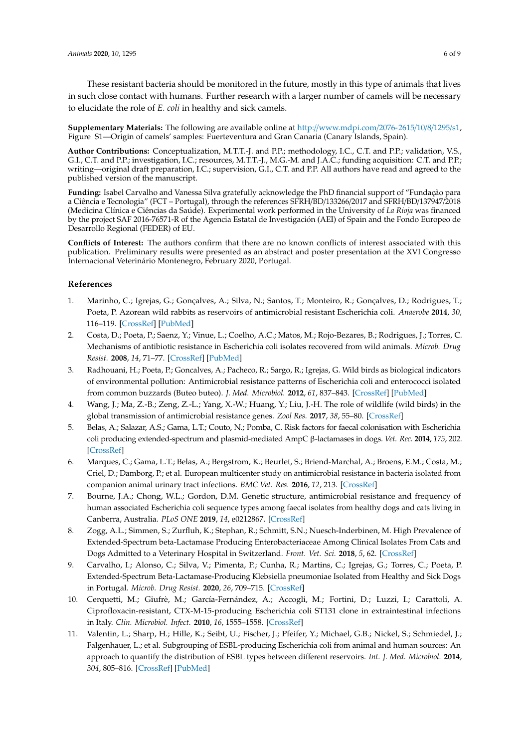These resistant bacteria should be monitored in the future, mostly in this type of animals that lives in such close contact with humans. Further research with a larger number of camels will be necessary to elucidate the role of *E. coli* in healthy and sick camels.

**Supplementary Materials:** The following are available online at http://[www.mdpi.com](http://www.mdpi.com/2076-2615/10/8/1295/s1)/2076-2615/10/8/1295/s1, Figure S1—Origin of camels' samples: Fuerteventura and Gran Canaria (Canary Islands, Spain).

**Author Contributions:** Conceptualization, M.T.T.-J. and P.P.; methodology, I.C., C.T. and P.P.; validation, V.S., G.I., C.T. and P.P.; investigation, I.C.; resources, M.T.T.-J., M.G.-M. and J.A.C.; funding acquisition: C.T. and P.P.; writing—original draft preparation, I.C.; supervision, G.I., C.T. and P.P. All authors have read and agreed to the published version of the manuscript.

**Funding:** Isabel Carvalho and Vanessa Silva gratefully acknowledge the PhD financial support of "Fundação para a Ciência e Tecnologia" (FCT – Portugal), through the references SFRH/BD/133266/2017 and SFRH/BD/137947/2018 (Medicina Clínica e Ciências da Saúde). Experimental work performed in the University of *La Rioja* was financed by the project SAF 2016-76571-R of the Agencia Estatal de Investigación (AEI) of Spain and the Fondo Europeo de Desarrollo Regional (FEDER) of EU.

**Conflicts of Interest:** The authors confirm that there are no known conflicts of interest associated with this publication. Preliminary results were presented as an abstract and poster presentation at the XVI Congresso Internacional Veterinário Montenegro, February 2020, Portugal.

### **References**

- <span id="page-5-0"></span>1. Marinho, C.; Igrejas, G.; Gonçalves, A.; Silva, N.; Santos, T.; Monteiro, R.; Gonçalves, D.; Rodrigues, T.; Poeta, P. Azorean wild rabbits as reservoirs of antimicrobial resistant Escherichia coli. *Anaerobe* **2014**, *30*, 116–119. [\[CrossRef\]](http://dx.doi.org/10.1016/j.anaerobe.2014.09.009) [\[PubMed\]](http://www.ncbi.nlm.nih.gov/pubmed/25246166)
- 2. Costa, D.; Poeta, P.; Saenz, Y.; Vinue, L.; Coelho, A.C.; Matos, M.; Rojo-Bezares, B.; Rodrigues, J.; Torres, C. Mechanisms of antibiotic resistance in Escherichia coli isolates recovered from wild animals. *Microb. Drug Resist.* **2008**, *14*, 71–77. [\[CrossRef\]](http://dx.doi.org/10.1089/mdr.2008.0795) [\[PubMed\]](http://www.ncbi.nlm.nih.gov/pubmed/18321208)
- 3. Radhouani, H.; Poeta, P.; Goncalves, A.; Pacheco, R.; Sargo, R.; Igrejas, G. Wild birds as biological indicators of environmental pollution: Antimicrobial resistance patterns of Escherichia coli and enterococci isolated from common buzzards (Buteo buteo). *J. Med. Microbiol.* **2012**, *61*, 837–843. [\[CrossRef\]](http://dx.doi.org/10.1099/jmm.0.038364-0) [\[PubMed\]](http://www.ncbi.nlm.nih.gov/pubmed/22403140)
- <span id="page-5-1"></span>4. Wang, J.; Ma, Z.-B.; Zeng, Z.-L.; Yang, X.-W.; Huang, Y.; Liu, J.-H. The role of wildlife (wild birds) in the global transmission of antimicrobial resistance genes. *Zool Res.* **2017**, *38*, 55–80. [\[CrossRef\]](http://dx.doi.org/10.24272/j.issn.2095-8137.2017.024)
- <span id="page-5-2"></span>5. Belas, A.; Salazar, A.S.; Gama, L.T.; Couto, N.; Pomba, C. Risk factors for faecal colonisation with Escherichia coli producing extended-spectrum and plasmid-mediated AmpC β-lactamases in dogs. *Vet. Rec.* **2014**, *175*, 202. [\[CrossRef\]](http://dx.doi.org/10.1136/vr.101978)
- 6. Marques, C.; Gama, L.T.; Belas, A.; Bergstrom, K.; Beurlet, S.; Briend-Marchal, A.; Broens, E.M.; Costa, M.; Criel, D.; Damborg, P.; et al. European multicenter study on antimicrobial resistance in bacteria isolated from companion animal urinary tract infections. *BMC Vet. Res.* **2016**, *12*, 213. [\[CrossRef\]](http://dx.doi.org/10.1186/s12917-016-0840-3)
- 7. Bourne, J.A.; Chong, W.L.; Gordon, D.M. Genetic structure, antimicrobial resistance and frequency of human associated Escherichia coli sequence types among faecal isolates from healthy dogs and cats living in Canberra, Australia. *PLoS ONE* **2019**, *14*, e0212867. [\[CrossRef\]](http://dx.doi.org/10.1371/journal.pone.0212867)
- 8. Zogg, A.L.; Simmen, S.; Zurfluh, K.; Stephan, R.; Schmitt, S.N.; Nuesch-Inderbinen, M. High Prevalence of Extended-Spectrum beta-Lactamase Producing Enterobacteriaceae Among Clinical Isolates From Cats and Dogs Admitted to a Veterinary Hospital in Switzerland. *Front. Vet. Sci.* **2018**, *5*, 62. [\[CrossRef\]](http://dx.doi.org/10.3389/fvets.2018.00062)
- <span id="page-5-3"></span>9. Carvalho, I.; Alonso, C.; Silva, V.; Pimenta, P.; Cunha, R.; Martins, C.; Igrejas, G.; Torres, C.; Poeta, P. Extended-Spectrum Beta-Lactamase-Producing Klebsiella pneumoniae Isolated from Healthy and Sick Dogs in Portugal. *Microb. Drug Resist.* **2020**, *26*, 709–715. [\[CrossRef\]](http://dx.doi.org/10.1089/mdr.2019.0205)
- <span id="page-5-4"></span>10. Cerquetti, M.; Giufrè, M.; García-Fernández, A.; Accogli, M.; Fortini, D.; Luzzi, I.; Carattoli, A. Ciprofloxacin-resistant, CTX-M-15-producing Escherichia coli ST131 clone in extraintestinal infections in Italy. *Clin. Microbiol. Infect.* **2010**, *16*, 1555–1558. [\[CrossRef\]](http://dx.doi.org/10.1111/j.1469-0691.2010.03162.x)
- 11. Valentin, L.; Sharp, H.; Hille, K.; Seibt, U.; Fischer, J.; Pfeifer, Y.; Michael, G.B.; Nickel, S.; Schmiedel, J.; Falgenhauer, L.; et al. Subgrouping of ESBL-producing Escherichia coli from animal and human sources: An approach to quantify the distribution of ESBL types between different reservoirs. *Int. J. Med. Microbiol.* **2014**, *304*, 805–816. [\[CrossRef\]](http://dx.doi.org/10.1016/j.ijmm.2014.07.015) [\[PubMed\]](http://www.ncbi.nlm.nih.gov/pubmed/25213631)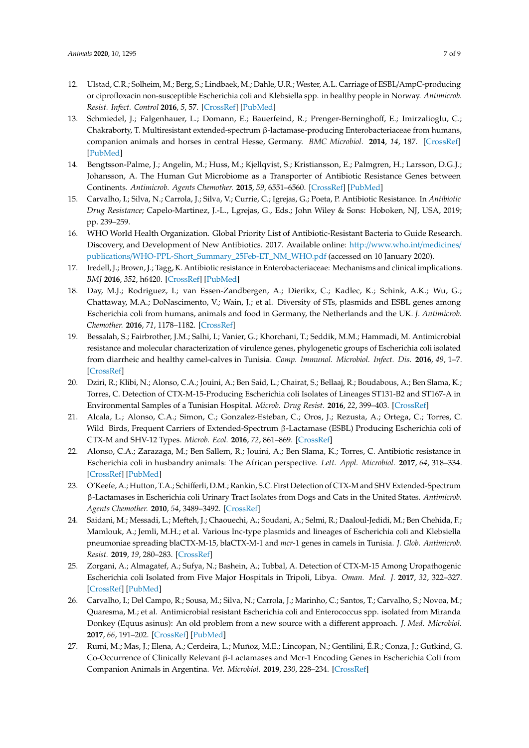- 12. Ulstad, C.R.; Solheim, M.; Berg, S.; Lindbaek, M.; Dahle, U.R.; Wester, A.L. Carriage of ESBL/AmpC-producing or ciprofloxacin non-susceptible Escherichia coli and Klebsiella spp. in healthy people in Norway. *Antimicrob. Resist. Infect. Control* **2016**, *5*, 57. [\[CrossRef\]](http://dx.doi.org/10.1186/s13756-016-0156-x) [\[PubMed\]](http://www.ncbi.nlm.nih.gov/pubmed/28018582)
- <span id="page-6-0"></span>13. Schmiedel, J.; Falgenhauer, L.; Domann, E.; Bauerfeind, R.; Prenger-Berninghoff, E.; Imirzalioglu, C.; Chakraborty, T. Multiresistant extended-spectrum β-lactamase-producing Enterobacteriaceae from humans, companion animals and horses in central Hesse, Germany. *BMC Microbiol.* **2014**, *14*, 187. [\[CrossRef\]](http://dx.doi.org/10.1186/1471-2180-14-187) [\[PubMed\]](http://www.ncbi.nlm.nih.gov/pubmed/25014994)
- <span id="page-6-1"></span>14. Bengtsson-Palme, J.; Angelin, M.; Huss, M.; Kjellqvist, S.; Kristiansson, E.; Palmgren, H.; Larsson, D.G.J.; Johansson, A. The Human Gut Microbiome as a Transporter of Antibiotic Resistance Genes between Continents. *Antimicrob. Agents Chemother.* **2015**, *59*, 6551–6560. [\[CrossRef\]](http://dx.doi.org/10.1128/AAC.00933-15) [\[PubMed\]](http://www.ncbi.nlm.nih.gov/pubmed/26259788)
- <span id="page-6-2"></span>15. Carvalho, I.; Silva, N.; Carrola, J.; Silva, V.; Currie, C.; Igrejas, G.; Poeta, P. Antibiotic Resistance. In *Antibiotic Drug Resistance*; Capelo-Martinez, J.-L., Lgrejas, G., Eds.; John Wiley & Sons: Hoboken, NJ, USA, 2019; pp. 239–259.
- <span id="page-6-3"></span>16. WHO World Health Organization. Global Priority List of Antibiotic-Resistant Bacteria to Guide Research. Discovery, and Development of New Antibiotics. 2017. Available online: http://[www.who.int](http://www.who.int/medicines/publications/WHO-PPL-Short_Summary_25Feb-ET_NM_WHO.pdf)/medicines/ publications/[WHO-PPL-Short\\_Summary\\_25Feb-ET\\_NM\\_WHO.pdf](http://www.who.int/medicines/publications/WHO-PPL-Short_Summary_25Feb-ET_NM_WHO.pdf) (accessed on 10 January 2020).
- <span id="page-6-4"></span>17. Iredell, J.; Brown, J.; Tagg, K. Antibiotic resistance in Enterobacteriaceae: Mechanisms and clinical implications. *BMJ* **2016**, *352*, h6420. [\[CrossRef\]](http://dx.doi.org/10.1136/bmj.h6420) [\[PubMed\]](http://www.ncbi.nlm.nih.gov/pubmed/26858245)
- <span id="page-6-5"></span>18. Day, M.J.; Rodriguez, I.; van Essen-Zandbergen, A.; Dierikx, C.; Kadlec, K.; Schink, A.K.; Wu, G.; Chattaway, M.A.; DoNascimento, V.; Wain, J.; et al. Diversity of STs, plasmids and ESBL genes among Escherichia coli from humans, animals and food in Germany, the Netherlands and the UK. *J. Antimicrob. Chemother.* **2016**, *71*, 1178–1182. [\[CrossRef\]](http://dx.doi.org/10.1093/jac/dkv485)
- <span id="page-6-6"></span>19. Bessalah, S.; Fairbrother, J.M.; Salhi, I.; Vanier, G.; Khorchani, T.; Seddik, M.M.; Hammadi, M. Antimicrobial resistance and molecular characterization of virulence genes, phylogenetic groups of Escherichia coli isolated from diarrheic and healthy camel-calves in Tunisia. *Comp. Immunol. Microbiol. Infect. Dis.* **2016**, *49*, 1–7. [\[CrossRef\]](http://dx.doi.org/10.1016/j.cimid.2016.08.008)
- <span id="page-6-7"></span>20. Dziri, R.; Klibi, N.; Alonso, C.A.; Jouini, A.; Ben Said, L.; Chairat, S.; Bellaaj, R.; Boudabous, A.; Ben Slama, K.; Torres, C. Detection of CTX-M-15-Producing Escherichia coli Isolates of Lineages ST131-B2 and ST167-A in Environmental Samples of a Tunisian Hospital. *Microb. Drug Resist.* **2016**, *22*, 399–403. [\[CrossRef\]](http://dx.doi.org/10.1089/mdr.2015.0354)
- <span id="page-6-8"></span>21. Alcala, L.; Alonso, C.A.; Simon, C.; Gonzalez-Esteban, C.; Oros, J.; Rezusta, A.; Ortega, C.; Torres, C. Wild Birds, Frequent Carriers of Extended-Spectrum β-Lactamase (ESBL) Producing Escherichia coli of CTX-M and SHV-12 Types. *Microb. Ecol.* **2016**, *72*, 861–869. [\[CrossRef\]](http://dx.doi.org/10.1007/s00248-015-0718-0)
- <span id="page-6-9"></span>22. Alonso, C.A.; Zarazaga, M.; Ben Sallem, R.; Jouini, A.; Ben Slama, K.; Torres, C. Antibiotic resistance in Escherichia coli in husbandry animals: The African perspective. *Lett. Appl. Microbiol.* **2017**, *64*, 318–334. [\[CrossRef\]](http://dx.doi.org/10.1111/lam.12724) [\[PubMed\]](http://www.ncbi.nlm.nih.gov/pubmed/28208218)
- 23. O'Keefe, A.; Hutton, T.A.; Schifferli, D.M.; Rankin, S.C. First Detection of CTX-M and SHV Extended-Spectrum β-Lactamases in Escherichia coli Urinary Tract Isolates from Dogs and Cats in the United States. *Antimicrob. Agents Chemother.* **2010**, *54*, 3489–3492. [\[CrossRef\]](http://dx.doi.org/10.1128/AAC.01701-09)
- <span id="page-6-12"></span>24. Saidani, M.; Messadi, L.; Mefteh, J.; Chaouechi, A.; Soudani, A.; Selmi, R.; Daaloul-Jedidi, M.; Ben Chehida, F.; Mamlouk, A.; Jemli, M.H.; et al. Various Inc-type plasmids and lineages of Escherichia coli and Klebsiella pneumoniae spreading blaCTX-M-15, blaCTX-M-1 and *mcr*-1 genes in camels in Tunisia. *J. Glob. Antimicrob. Resist.* **2019**, *19*, 280–283. [\[CrossRef\]](http://dx.doi.org/10.1016/j.jgar.2019.05.007)
- <span id="page-6-10"></span>25. Zorgani, A.; Almagatef, A.; Sufya, N.; Bashein, A.; Tubbal, A. Detection of CTX-M-15 Among Uropathogenic Escherichia coli Isolated from Five Major Hospitals in Tripoli, Libya. *Oman. Med. J.* **2017**, *32*, 322–327. [\[CrossRef\]](http://dx.doi.org/10.5001/omj.2017.61) [\[PubMed\]](http://www.ncbi.nlm.nih.gov/pubmed/28804585)
- <span id="page-6-11"></span>26. Carvalho, I.; Del Campo, R.; Sousa, M.; Silva, N.; Carrola, J.; Marinho, C.; Santos, T.; Carvalho, S.; Novoa, M.; Quaresma, M.; et al. Antimicrobial resistant Escherichia coli and Enterococcus spp. isolated from Miranda Donkey (Equus asinus): An old problem from a new source with a different approach. *J. Med. Microbiol.* **2017**, *66*, 191–202. [\[CrossRef\]](http://dx.doi.org/10.1099/jmm.0.000423) [\[PubMed\]](http://www.ncbi.nlm.nih.gov/pubmed/28260587)
- 27. Rumi, M.; Mas, J.; Elena, A.; Cerdeira, L.; Muñoz, M.E.; Lincopan, N.; Gentilini, É.R.; Conza, J.; Gutkind, G. Co-Occurrence of Clinically Relevant β-Lactamases and Mcr-1 Encoding Genes in Escherichia Coli from Companion Animals in Argentina. *Vet. Microbiol.* **2019**, *230*, 228–234. [\[CrossRef\]](http://dx.doi.org/10.1016/j.vetmic.2019.02.006)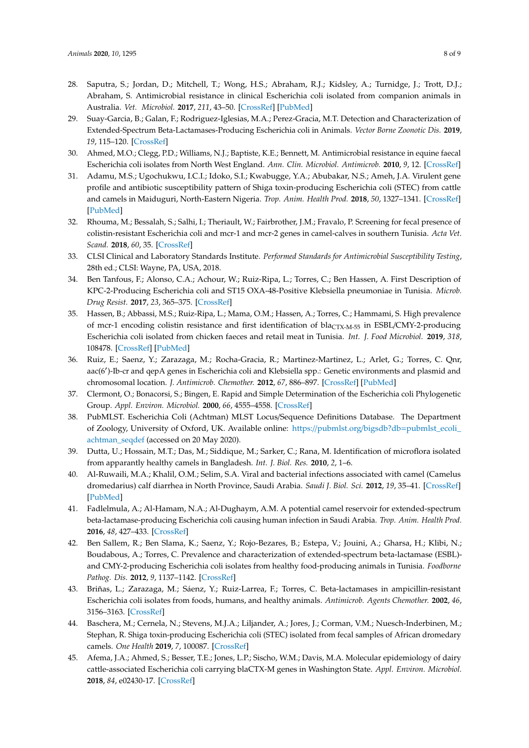- 28. Saputra, S.; Jordan, D.; Mitchell, T.; Wong, H.S.; Abraham, R.J.; Kidsley, A.; Turnidge, J.; Trott, D.J.; Abraham, S. Antimicrobial resistance in clinical Escherichia coli isolated from companion animals in Australia. *Vet. Microbiol.* **2017**, *211*, 43–50. [\[CrossRef\]](http://dx.doi.org/10.1016/j.vetmic.2017.09.014) [\[PubMed\]](http://www.ncbi.nlm.nih.gov/pubmed/29102120)
- 29. Suay-Garcia, B.; Galan, F.; Rodriguez-Iglesias, M.A.; Perez-Gracia, M.T. Detection and Characterization of Extended-Spectrum Beta-Lactamases-Producing Escherichia coli in Animals. *Vector Borne Zoonotic Dis.* **2019**, *19*, 115–120. [\[CrossRef\]](http://dx.doi.org/10.1089/vbz.2018.2333)
- <span id="page-7-0"></span>30. Ahmed, M.O.; Clegg, P.D.; Williams, N.J.; Baptiste, K.E.; Bennett, M. Antimicrobial resistance in equine faecal Escherichia coli isolates from North West England. *Ann. Clin. Microbiol. Antimicrob.* **2010**, *9*, 12. [\[CrossRef\]](http://dx.doi.org/10.1186/1476-0711-9-12)
- <span id="page-7-1"></span>31. Adamu, M.S.; Ugochukwu, I.C.I.; Idoko, S.I.; Kwabugge, Y.A.; Abubakar, N.S.; Ameh, J.A. Virulent gene profile and antibiotic susceptibility pattern of Shiga toxin-producing Escherichia coli (STEC) from cattle and camels in Maiduguri, North-Eastern Nigeria. *Trop. Anim. Health Prod.* **2018**, *50*, 1327–1341. [\[CrossRef\]](http://dx.doi.org/10.1007/s11250-018-1565-z) [\[PubMed\]](http://www.ncbi.nlm.nih.gov/pubmed/29564631)
- <span id="page-7-2"></span>32. Rhouma, M.; Bessalah, S.; Salhi, I.; Theriault, W.; Fairbrother, J.M.; Fravalo, P. Screening for fecal presence of colistin-resistant Escherichia coli and mcr-1 and mcr-2 genes in camel-calves in southern Tunisia. *Acta Vet. Scand.* **2018**, *60*, 35. [\[CrossRef\]](http://dx.doi.org/10.1186/s13028-018-0389-1)
- <span id="page-7-3"></span>33. CLSI Clinical and Laboratory Standards Institute. *Performed Standards for Antimicrobial Susceptibility Testing*, 28th ed.; CLSI: Wayne, PA, USA, 2018.
- <span id="page-7-4"></span>34. Ben Tanfous, F.; Alonso, C.A.; Achour, W.; Ruiz-Ripa, L.; Torres, C.; Ben Hassen, A. First Description of KPC-2-Producing Escherichia coli and ST15 OXA-48-Positive Klebsiella pneumoniae in Tunisia. *Microb. Drug Resist.* **2017**, *23*, 365–375. [\[CrossRef\]](http://dx.doi.org/10.1089/mdr.2016.0090)
- <span id="page-7-5"></span>35. Hassen, B.; Abbassi, M.S.; Ruiz-Ripa, L.; Mama, O.M.; Hassen, A.; Torres, C.; Hammami, S. High prevalence of mcr-1 encoding colistin resistance and first identification of  $bla_{CTX-M-55}$  in ESBL/CMY-2-producing Escherichia coli isolated from chicken faeces and retail meat in Tunisia. *Int. J. Food Microbiol.* **2019**, *318*, 108478. [\[CrossRef\]](http://dx.doi.org/10.1016/j.ijfoodmicro.2019.108478) [\[PubMed\]](http://www.ncbi.nlm.nih.gov/pubmed/31855787)
- <span id="page-7-6"></span>36. Ruiz, E.; Saenz, Y.; Zarazaga, M.; Rocha-Gracia, R.; Martinez-Martinez, L.; Arlet, G.; Torres, C. Qnr, aac(6')-Ib-cr and qepA genes in Escherichia coli and Klebsiella spp.: Genetic environments and plasmid and chromosomal location. *J. Antimicrob. Chemother.* **2012**, *67*, 886–897. [\[CrossRef\]](http://dx.doi.org/10.1093/jac/dkr548) [\[PubMed\]](http://www.ncbi.nlm.nih.gov/pubmed/22223228)
- <span id="page-7-7"></span>37. Clermont, O.; Bonacorsi, S.; Bingen, E. Rapid and Simple Determination of the Escherichia coli Phylogenetic Group. *Appl. Environ. Microbiol.* **2000**, *66*, 4555–4558. [\[CrossRef\]](http://dx.doi.org/10.1128/AEM.66.10.4555-4558.2000)
- <span id="page-7-8"></span>38. PubMLST. Escherichia Coli (Achtman) MLST Locus/Sequence Definitions Database. The Department of Zoology, University of Oxford, UK. Available online: https://pubmlst.org/bigsdb?db=[pubmlst\\_ecoli\\_](https://pubmlst.org/bigsdb?db=pubmlst_ecoli_achtman_seqdef) [achtman\\_seqdef](https://pubmlst.org/bigsdb?db=pubmlst_ecoli_achtman_seqdef) (accessed on 20 May 2020).
- <span id="page-7-9"></span>39. Dutta, U.; Hossain, M.T.; Das, M.; Siddique, M.; Sarker, C.; Rana, M. Identification of microflora isolated from apparantly healthy camels in Bangladesh. *Int. J. Biol. Res.* **2010**, *2*, 1–6.
- <span id="page-7-10"></span>40. Al-Ruwaili, M.A.; Khalil, O.M.; Selim, S.A. Viral and bacterial infections associated with camel (Camelus dromedarius) calf diarrhea in North Province, Saudi Arabia. *Saudi J. Biol. Sci.* **2012**, *19*, 35–41. [\[CrossRef\]](http://dx.doi.org/10.1016/j.sjbs.2011.10.001) [\[PubMed\]](http://www.ncbi.nlm.nih.gov/pubmed/23961160)
- <span id="page-7-11"></span>41. Fadlelmula, A.; Al-Hamam, N.A.; Al-Dughaym, A.M. A potential camel reservoir for extended-spectrum beta-lactamase-producing Escherichia coli causing human infection in Saudi Arabia. *Trop. Anim. Health Prod.* **2016**, *48*, 427–433. [\[CrossRef\]](http://dx.doi.org/10.1007/s11250-015-0970-9)
- <span id="page-7-12"></span>42. Ben Sallem, R.; Ben Slama, K.; Saenz, Y.; Rojo-Bezares, B.; Estepa, V.; Jouini, A.; Gharsa, H.; Klibi, N.; Boudabous, A.; Torres, C. Prevalence and characterization of extended-spectrum beta-lactamase (ESBL) and CMY-2-producing Escherichia coli isolates from healthy food-producing animals in Tunisia. *Foodborne Pathog. Dis.* **2012**, *9*, 1137–1142. [\[CrossRef\]](http://dx.doi.org/10.1089/fpd.2012.1267)
- <span id="page-7-13"></span>43. Briñas, L.; Zarazaga, M.; Sáenz, Y.; Ruiz-Larrea, F.; Torres, C. Beta-lactamases in ampicillin-resistant Escherichia coli isolates from foods, humans, and healthy animals. *Antimicrob. Agents Chemother.* **2002**, *46*, 3156–3163. [\[CrossRef\]](http://dx.doi.org/10.1128/AAC.46.10.3156-3163.2002)
- <span id="page-7-14"></span>44. Baschera, M.; Cernela, N.; Stevens, M.J.A.; Liljander, A.; Jores, J.; Corman, V.M.; Nuesch-Inderbinen, M.; Stephan, R. Shiga toxin-producing Escherichia coli (STEC) isolated from fecal samples of African dromedary camels. *One Health* **2019**, *7*, 100087. [\[CrossRef\]](http://dx.doi.org/10.1016/j.onehlt.2019.100087)
- <span id="page-7-15"></span>45. Afema, J.A.; Ahmed, S.; Besser, T.E.; Jones, L.P.; Sischo, W.M.; Davis, M.A. Molecular epidemiology of dairy cattle-associated Escherichia coli carrying blaCTX-M genes in Washington State. *Appl. Environ. Microbiol.* **2018**, *84*, e02430-17. [\[CrossRef\]](http://dx.doi.org/10.1128/AEM.02430-17)